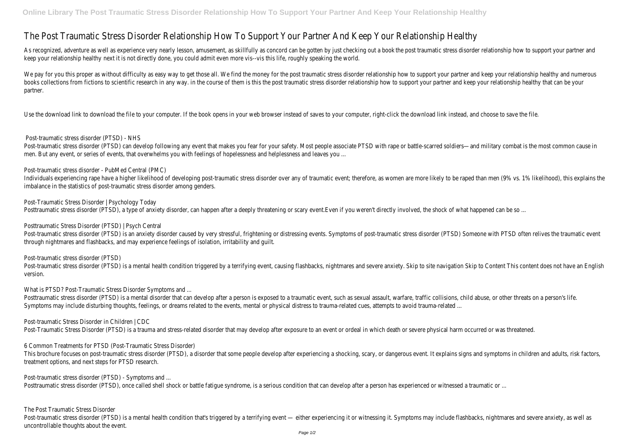## The Post Traumatic Stress Disorder Relationship How To Support Your Partner And Keep Your Relationship Healthy

As recognized, adventure as well as experience very nearly lesson, amusement, as skillfully as concord can be gotten by just checking out a book the post traumatic stress disorder relationship how to support your partner a keep your relationship healthy next it is not directly done, you could admit even more vis--vis this life, roughly speaking the world.

We pay for you this proper as without difficulty as easy way to get those all. We find the money for the post traumatic stress disorder relationship how to support your partner and keep your relationship healthy and numero books collections from fictions to scientific research in any way. in the course of them is this the post traumatic stress disorder relationship how to support your partner and keep your relationship healthy that can be yo partner.

Use the download link to download the file to your computer. If the book opens in your web browser instead of saves to your computer, right-click the download link instead, and choose to save the file.

Post-traumatic stress disorder (PTSD) can develop following any event that makes you fear for your safety. Most people associate PTSD with rape or battle-scarred soldiers—and military combat is the most common cause in men. But any event, or series of events, that overwhelms you with feelings of hopelessness and helplessness and leaves you ...

Individuals experiencing rape have a higher likelihood of developing post-traumatic stress disorder over any of traumatic event; therefore, as women are more likely to be raped than men (9% vs. 1% likelihood), this explain imbalance in the statistics of post-traumatic stress disorder among genders.

## Post-traumatic stress disorder (PTSD) - NHS

Post-traumatic stress disorder (PTSD) is an anxiety disorder caused by very stressful, frightening or distressing events. Symptoms of post-traumatic stress disorder (PTSD) Someone with PTSD often relives the traumatic even through nightmares and flashbacks, and may experience feelings of isolation, irritability and guilt.

Post-traumatic stress disorder (PTSD) is a mental health condition triggered by a terrifying event, causing flashbacks, nightmares and severe anxiety. Skip to site navigation Skip to Content This content does not have an E version.

What is PTSD? Post-Traumatic Stress Disorder Symptoms and ...

Post-traumatic stress disorder - PubMed Central (PMC)

Posttraumatic stress disorder (PTSD) is a mental disorder that can develop after a person is exposed to a traumatic event, such as sexual assault, warfare, traffic collisions, child abuse, or other threats on a person's li Symptoms may include disturbing thoughts, feelings, or dreams related to the events, mental or physical distress to trauma-related cues, attempts to avoid trauma-related ...

This brochure focuses on post-traumatic stress disorder (PTSD), a disorder that some people develop after experiencing a shocking, scary, or dangerous event. It explains signs and symptoms in children and adults, risk fact treatment options, and next steps for PTSD research.

Post-Traumatic Stress Disorder | Psychology Today

Posttraumatic stress disorder (PTSD), a type of anxiety disorder, can happen after a deeply threatening or scary event.Even if you weren't directly involved, the shock of what happened can be so ...

Post-traumatic stress disorder (PTSD) is a mental health condition that's triggered by a terrifying event — either experiencing it or witnessing it. Symptoms may include flashbacks, nightmares and severe anxiety, as well a uncontrollable thoughts about the event.

Posttraumatic Stress Disorder (PTSD) | Psych Central

Post-traumatic stress disorder (PTSD)

Post-traumatic Stress Disorder in Children | CDC

Post-Traumatic Stress Disorder (PTSD) is a trauma and stress-related disorder that may develop after exposure to an event or ordeal in which death or severe physical harm occurred or was threatened.

6 Common Treatments for PTSD (Post-Traumatic Stress Disorder)

Post-traumatic stress disorder (PTSD) - Symptoms and ...

Posttraumatic stress disorder (PTSD), once called shell shock or battle fatigue syndrome, is a serious condition that can develop after a person has experienced or witnessed a traumatic or ...

The Post Traumatic Stress Disorder